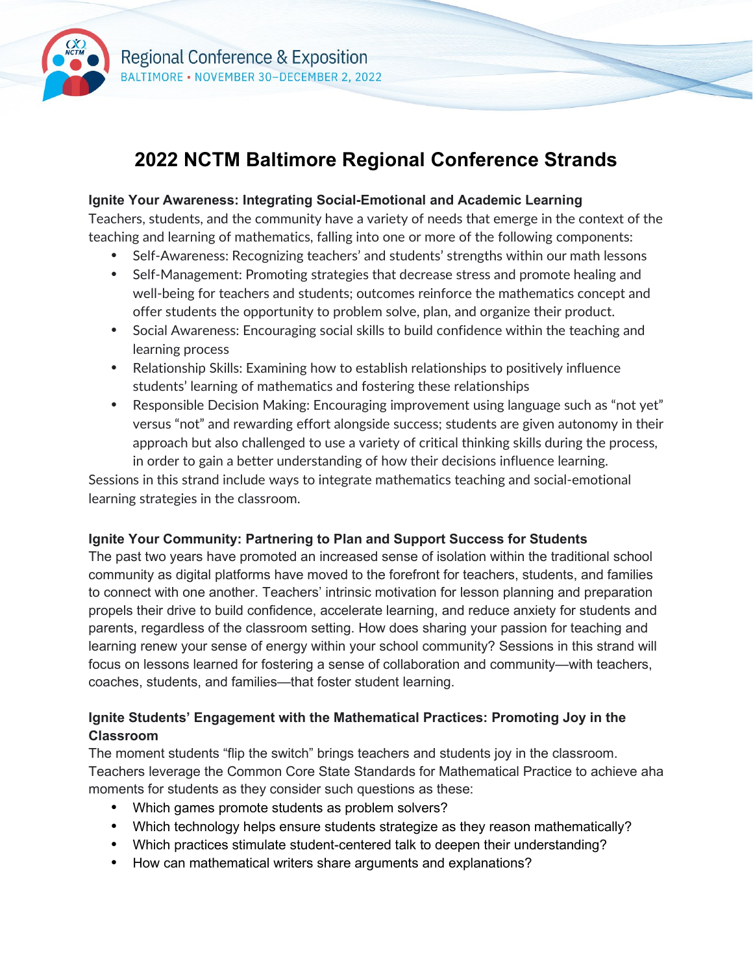

# **2022 NCTM Baltimore Regional Conference Strands**

#### **Ignite Your Awareness: Integrating Social-Emotional and Academic Learning**

Teachers, students, and the community have a variety of needs that emerge in the context of the teaching and learning of mathematics, falling into one or more of the following components:

- Self-Awareness: Recognizing teachers' and students' strengths within our math lessons
- Self-Management: Promoting strategies that decrease stress and promote healing and well-being for teachers and students; outcomes reinforce the mathematics concept and offer students the opportunity to problem solve, plan, and organize their product.
- Social Awareness: Encouraging social skills to build confidence within the teaching and learning process
- Relationship Skills: Examining how to establish relationships to positively influence students' learning of mathematics and fostering these relationships
- Responsible Decision Making: Encouraging improvement using language such as "not yet" versus "not" and rewarding effort alongside success; students are given autonomy in their approach but also challenged to use a variety of critical thinking skills during the process, in order to gain a better understanding of how their decisions influence learning.

Sessions in this strand include ways to integrate mathematics teaching and social-emotional learning strategies in the classroom.

#### **Ignite Your Community: Partnering to Plan and Support Success for Students**

The past two years have promoted an increased sense of isolation within the traditional school community as digital platforms have moved to the forefront for teachers, students, and families to connect with one another. Teachers' intrinsic motivation for lesson planning and preparation propels their drive to build confidence, accelerate learning, and reduce anxiety for students and parents, regardless of the classroom setting. How does sharing your passion for teaching and learning renew your sense of energy within your school community? Sessions in this strand will focus on lessons learned for fostering a sense of collaboration and community—with teachers, coaches, students, and families—that foster student learning.

### **Ignite Students' Engagement with the Mathematical Practices: Promoting Joy in the Classroom**

The moment students "flip the switch" brings teachers and students joy in the classroom. Teachers leverage the Common Core State Standards for Mathematical Practice to achieve aha moments for students as they consider such questions as these:

- Which games promote students as problem solvers?
- Which technology helps ensure students strategize as they reason mathematically?
- Which practices stimulate student-centered talk to deepen their understanding?
- How can mathematical writers share arguments and explanations?